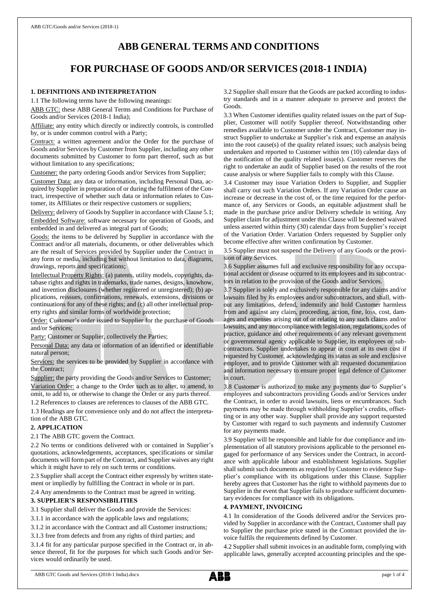# **ABB GENERAL TERMS AND CONDITIONS**

# **FOR PURCHASE OF GOODS AND/OR SERVICES (2018-1 INDIA)**

## **1. DEFINITIONS AND INTERPRETATION**

1.1 The following terms have the following meanings:

ABB GTC: these ABB General Terms and Conditions for Purchase of Goods and/or Services (2018-1 India);

Affiliate: any entity which directly or indirectly controls, is controlled by, or is under common control with a Party;

Contract: a written agreement and/or the Order for the purchase of Goods and/or Services by Customer from Supplier, including any other documents submitted by Customer to form part thereof, such as but without limitation to any specifications;

Customer: the party ordering Goods and/or Services from Supplier;

Customer Data: any data or information, including Personal Data, acquired by Supplier in preparation of or during the fulfilment of the Contract, irrespective of whether such data or information relates to Customer, its Affiliates or their respective customers or suppliers;

Delivery: delivery of Goods by Supplier in accordance with Clause 5.1; Embedded Software: software necessary for operation of Goods, and embedded in and delivered as integral part of Goods;

Goods: the items to be delivered by Supplier in accordance with the Contract and/or all materials, documents, or other deliverables which are the result of Services provided by Supplier under the Contract in any form or media, including but without limitation to data, diagrams, drawings, reports and specifications;

Intellectual Property Rights: (a) patents, utility models, copyrights, database rights and rights in trademarks, trade names, designs, knowhow, and invention disclosures (whether registered or unregistered); (b) applications, reissues, confirmations, renewals, extensions, divisions or continuations for any of these rights; and (c) all other intellectual property rights and similar forms of worldwide protection;

Order: Customer's order issued to Supplier for the purchase of Goods and/or Services;

Party: Customer or Supplier, collectively the Parties;

Personal Data: any data or information of an identified or identifiable natural person;

Services: the services to be provided by Supplier in accordance with the Contract;

Supplier: the party providing the Goods and/or Services to Customer; Variation Order: a change to the Order such as to alter, to amend, to omit, to add to, or otherwise to change the Order or any parts thereof. 1.2 References to clauses are references to clauses of the ABB GTC.

1.3 Headings are for convenience only and do not affect the interpretation of the ABB GTC.

### **2. APPLICATION**

2.1 The ABB GTC govern the Contract.

2.2 No terms or conditions delivered with or contained in Supplier's quotations, acknowledgements, acceptances, specifications or similar documents will form part of the Contract, and Supplier waives any right which it might have to rely on such terms or conditions.

2.3 Supplier shall accept the Contract either expressly by written statement or impliedly by fulfilling the Contract in whole or in part.

2.4 Any amendments to the Contract must be agreed in writing.

### **3. SUPPLIER'S RESPONSIBILITIES**

3.1 Supplier shall deliver the Goods and provide the Services:

3.1.1 in accordance with the applicable laws and regulations;

3.1.2 in accordance with the Contract and all Customer instructions;

3.1.3 free from defects and from any rights of third parties; and

3.1.4 fit for any particular purpose specified in the Contract or, in absence thereof, fit for the purposes for which such Goods and/or Services would ordinarily be used.

3.2 Supplier shall ensure that the Goods are packed according to industry standards and in a manner adequate to preserve and protect the Goods.

3.3 When Customer identifies quality related issues on the part of Supplier, Customer will notify Supplier thereof. Notwithstanding other remedies available to Customer under the Contract, Customer may instruct Supplier to undertake at Supplier's risk and expense an analysis into the root cause(s) of the quality related issues; such analysis being undertaken and reported to Customer within ten (10) calendar days of the notification of the quality related issue(s). Customer reserves the right to undertake an audit of Supplier based on the results of the root cause analysis or where Supplier fails to comply with this Clause.

3.4 Customer may issue Variation Orders to Supplier, and Supplier shall carry out such Variation Orders. If any Variation Order cause an increase or decrease in the cost of, or the time required for the performance of, any Services or Goods, an equitable adjustment shall be made in the purchase price and/or Delivery schedule in writing. Any Supplier claim for adjustment under this Clause will be deemed waived unless asserted within thirty (30) calendar days from Supplier's receipt of the Variation Order. Variation Orders requested by Supplier only become effective after written confirmation by Customer.

3.5 Supplier must not suspend the Delivery of any Goods or the provision of any Services.

3.6 Supplier assumes full and exclusive responsibility for any occupational accident or disease occurred to its employees and its subcontractors in relation to the provision of the Goods and/or Services.

3.7 Supplier is solely and exclusively responsible for any claims and/or lawsuits filed by its employees and/or subcontractors, and shall, without any limitations, defend, indemnify and hold Customer harmless from and against any claim, proceeding, action, fine, loss, cost, damages and expenses arising out of or relating to any such claims and/or lawsuits, and any noncompliance with legislation, regulations, codes of practice, guidance and other requirements of any relevant government or governmental agency applicable to Supplier, its employees or subcontractors. Supplier undertakes to appear in court at its own cost if requested by Customer, acknowledging its status as sole and exclusive employer, and to provide Customer with all requested documentation and information necessary to ensure proper legal defence of Customer in court.

3.8 Customer is authorized to make any payments due to Supplier's employees and subcontractors providing Goods and/or Services under the Contract, in order to avoid lawsuits, liens or encumbrances. Such payments may be made through withholding Supplier's credits, offsetting or in any other way. Supplier shall provide any support requested by Customer with regard to such payments and indemnify Customer for any payments made.

3.9 Supplier will be responsible and liable for due compliance and implementation of all statutory provisions applicable to the personnel engaged for performance of any Services under the Contract, in accordance with applicable labour and establishment legislations. Supplier shall submit such documents as required by Customer to evidence Supplier's compliance with its obligations under this Clause. Supplier hereby agrees that Customer has the right to withhold payments due to Supplier in the event that Supplier fails to produce sufficient documentary evidences for compliance with its obligations.

# **4. PAYMENT, INVOICING**

4.1 In consideration of the Goods delivered and/or the Services provided by Supplier in accordance with the Contract, Customer shall pay to Supplier the purchase price stated in the Contract provided the invoice fulfils the requirements defined by Customer.

4.2 Supplier shall submit invoices in an auditable form, complying with applicable laws, generally accepted accounting principles and the spe-

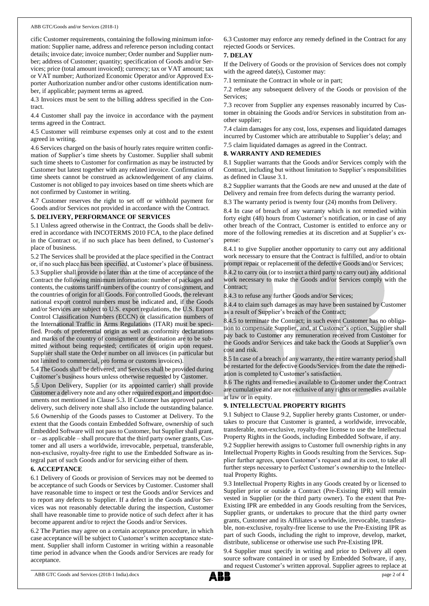#### ABB GTC/Goods and/or Services (2018-1)

cific Customer requirements, containing the following minimum information: Supplier name, address and reference person including contact details; invoice date; invoice number; Order number and Supplier number; address of Customer; quantity; specification of Goods and/or Services; price (total amount invoiced); currency; tax or VAT amount; tax or VAT number; Authorized Economic Operator and/or Approved Exporter Authorization number and/or other customs identification number, if applicable; payment terms as agreed.

4.3 Invoices must be sent to the billing address specified in the Contract.

4.4 Customer shall pay the invoice in accordance with the payment terms agreed in the Contract.

4.5 Customer will reimburse expenses only at cost and to the extent agreed in writing.

4.6 Services charged on the basis of hourly rates require written confirmation of Supplier's time sheets by Customer. Supplier shall submit such time sheets to Customer for confirmation as may be instructed by Customer but latest together with any related invoice. Confirmation of time sheets cannot be construed as acknowledgement of any claims. Customer is not obliged to pay invoices based on time sheets which are not confirmed by Customer in writing.

4.7 Customer reserves the right to set off or withhold payment for Goods and/or Services not provided in accordance with the Contract.

#### **5. DELIVERY, PERFORMANCE OF SERVICES**

5.1 Unless agreed otherwise in the Contract, the Goods shall be delivered in accordance with INCOTERMS 2010 FCA, to the place defined in the Contract or, if no such place has been defined, to Customer's place of business.

5.2 The Services shall be provided at the place specified in the Contract or, if no such place has been specified, at Customer's place of business. 5.3 Supplier shall provide no later than at the time of acceptance of the Contract the following minimum information: number of packages and contents, the customs tariff numbers of the country of consignment, and

the countries of origin for all Goods. For controlled Goods, the relevant national export control numbers must be indicated and, if the Goods and/or Services are subject to U.S. export regulations, the U.S. Export Control Classification Numbers (ECCN) or classification numbers of the International Traffic in Arms Regulations (ITAR) must be specified. Proofs of preferential origin as well as conformity declarations and marks of the country of consignment or destination are to be submitted without being requested; certificates of origin upon request. Supplier shall state the Order number on all invoices (in particular but not limited to commercial, pro forma or customs invoices).

5.4 The Goods shall be delivered, and Services shall be provided during Customer's business hours unless otherwise requested by Customer.

5.5 Upon Delivery, Supplier (or its appointed carrier) shall provide Customer a delivery note and any other required export and import documents not mentioned in Clause 5.3. If Customer has approved partial delivery, such delivery note shall also include the outstanding balance.

5.6 Ownership of the Goods passes to Customer at Delivery. To the extent that the Goods contain Embedded Software, ownership of such Embedded Software will not passto Customer, but Supplier shall grant, or – as applicable – shall procure that the third party owner grants, Customer and all users a worldwide, irrevocable, perpetual, transferable, non-exclusive, royalty-free right to use the Embedded Software as integral part of such Goods and/or for servicing either of them.

#### **6. ACCEPTANCE**

6.1 Delivery of Goods or provision of Services may not be deemed to be acceptance of such Goods or Services by Customer. Customer shall have reasonable time to inspect or test the Goods and/or Services and to report any defects to Supplier. If a defect in the Goods and/or Services was not reasonably detectable during the inspection, Customer shall have reasonable time to provide notice of such defect after it has become apparent and/or to reject the Goods and/or Services.

6.2 The Parties may agree on a certain acceptance procedure, in which case acceptance will be subject to Customer's written acceptance statement. Supplier shall inform Customer in writing within a reasonable time period in advance when the Goods and/or Services are ready for acceptance.

6.3 Customer may enforce any remedy defined in the Contract for any rejected Goods or Services.

## **7. DELAY**

If the Delivery of Goods or the provision of Services does not comply with the agreed date(s), Customer may:

7.1 terminate the Contract in whole or in part;

7.2 refuse any subsequent delivery of the Goods or provision of the Services;

7.3 recover from Supplier any expenses reasonably incurred by Customer in obtaining the Goods and/or Services in substitution from another supplier;

7.4 claim damages for any cost, loss, expenses and liquidated damages incurred by Customer which are attributable to Supplier's delay; and

7.5 claim liquidated damages as agreed in the Contract.

## **8. WARRANTY AND REMEDIES**

8.1 Supplier warrants that the Goods and/or Services comply with the Contract, including but without limitation to Supplier's responsibilities as defined in Clause 3.1.

8.2 Supplier warrants that the Goods are new and unused at the date of Delivery and remain free from defects during the warranty period.

8.3 The warranty period is twenty four (24) months from Delivery.

8.4 In case of breach of any warranty which is not remedied within forty eight (48) hours from Customer's notification, or in case of any other breach of the Contract, Customer is entitled to enforce any or more of the following remedies at its discretion and at Supplier's expense:

8.4.1 to give Supplier another opportunity to carry out any additional work necessary to ensure that the Contract is fulfilled, and/or to obtain prompt repair or replacement of the defective Goods and/or Services;

8.4.2 to carry out (or to instruct a third party to carry out) any additional work necessary to make the Goods and/or Services comply with the Contract;

8.4.3 to refuse any further Goods and/or Services;

8.4.4 to claim such damages as may have been sustained by Customer as a result of Supplier's breach of the Contract;

8.4.5 to terminate the Contract; in such event Customer has no obligation to compensate Supplier, and, at Customer's option, Supplier shall pay back to Customer any remuneration received from Customer for the Goods and/or Services and take back the Goods at Supplier's own cost and risk.

8.5 In case of a breach of any warranty, the entire warranty period shall be restarted for the defective Goods/Services from the date the remediation is completed to Customer's satisfaction.

8.6 The rights and remedies available to Customer under the Contract are cumulative and are not exclusive of any rights or remedies available at law or in equity.

### **9. INTELLECTUAL PROPERTY RIGHTS**

9.1 Subject to Clause 9.2, Supplier hereby grants Customer, or undertakes to procure that Customer is granted, a worldwide, irrevocable, transferable, non-exclusive, royalty-free license to use the Intellectual Property Rights in the Goods, including Embedded Software, if any.

9.2 Supplier herewith assigns to Customer full ownership rights in any Intellectual Property Rights in Goods resulting from the Services. Supplier further agrees, upon Customer's request and at its cost, to take all further steps necessary to perfect Customer's ownership to the Intellectual Property Rights.

9.3 Intellectual Property Rights in any Goods created by or licensed to Supplier prior or outside a Contract (Pre-Existing IPR) will remain vested in Supplier (or the third party owner). To the extent that Pre-Existing IPR are embedded in any Goods resulting from the Services, Supplier grants, or undertakes to procure that the third party owner grants, Customer and its Affiliates a worldwide, irrevocable, transferable, non-exclusive, royalty-free license to use the Pre-Existing IPR as part of such Goods, including the right to improve, develop, market, distribute, sublicense or otherwise use such Pre-Existing IPR.

9.4 Supplier must specify in writing and prior to Delivery all open source software contained in or used by Embedded Software, if any, and request Customer's written approval. Supplier agrees to replace at

ABB GTC Goods and Services (2018-1 India).docx page 2 of 4

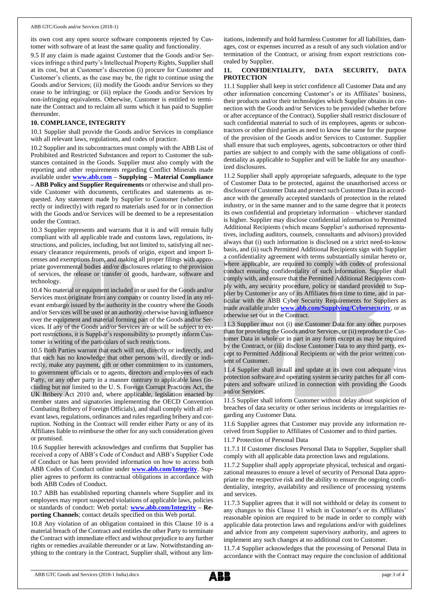its own cost any open source software components rejected by Customer with software of at least the same quality and functionality.

9.5 If any claim is made against Customer that the Goods and/or Services infringe a third party's Intellectual Property Rights, Supplier shall at its cost, but at Customer's discretion (i) procure for Customer and Customer's clients, as the case may be, the right to continue using the Goods and/or Services; (ii) modify the Goods and/or Services so they cease to be infringing; or (iii) replace the Goods and/or Services by non-infringing equivalents. Otherwise, Customer is entitled to terminate the Contract and to reclaim all sums which it has paid to Supplier thereunder.

#### **10. COMPLIANCE, INTEGRITY**

10.1 Supplier shall provide the Goods and/or Services in compliance with all relevant laws, regulations, and codes of practice.

10.2 Supplier and its subcontractors must comply with the ABB List of Prohibited and Restricted Substances and report to Customer the substances contained in the Goods. Supplier must also comply with the reporting and other requirements regarding Conflict Minerals made available under **[www.abb.com](http://www.abb.com/) – Supplying – Material Compliance – ABB Policy and Supplier Requirements** or otherwise and shall provide Customer with documents, certificates and statements as requested. Any statement made by Supplier to Customer (whether directly or indirectly) with regard to materials used for or in connection with the Goods and/or Services will be deemed to be a representation under the Contract.

10.3 Supplier represents and warrants that it is and will remain fully compliant with all applicable trade and customs laws, regulations, instructions, and policies, including, but not limited to, satisfying all necessary clearance requirements, proofs of origin, export and import licenses and exemptions from, and making all proper filings with appropriate governmental bodies and/or disclosures relating to the provision of services, the release or transfer of goods, hardware, software and technology.

10.4 No material or equipment included in or used for the Goods and/or Services must originate from any company or country listed in any relevant embargo issued by the authority in the country where the Goods and/or Services will be used or an authority otherwise having influence over the equipment and material forming part of the Goods and/or Services. If any of the Goods and/or Services are or will be subject to export restrictions, it is Supplier's responsibility to promptly inform Customer in writing of the particulars of such restrictions.

10.5 Both Parties warrant that each will not, directly or indirectly, and that each has no knowledge that other persons will, directly or indirectly, make any payment, gift or other commitment to its customers, to government officials or to agents, directors and employees of each Party, or any other party in a manner contrary to applicable laws (including but not limited to the U. S. Foreign Corrupt Practices Act, the UK Bribery Act 2010 and, where applicable, legislation enacted by member states and signatories implementing the OECD Convention Combating Bribery of Foreign Officials), and shall comply with all relevant laws, regulations, ordinances and rules regarding bribery and corruption. Nothing in the Contract will render either Party or any of its Affiliates liable to reimburse the other for any such consideration given or promised.

10.6 Supplier herewith acknowledges and confirms that Supplier has received a copy of ABB's Code of Conduct and ABB's Supplier Code of Conduct or has been provided information on how to access both ABB Codes of Conduct online under **[www.abb.com/Integrity](http://www.abb.com/Integrity)**. Supplier agrees to perform its contractual obligations in accordance with both ABB Codes of Conduct.

10.7 ABB has established reporting channels where Supplier and its employees may report suspected violations of applicable laws, policies or standards of conduct: Web portal: **[www.abb.com/Integrity](http://www.abb.com/Integrity) – Reporting Channels**; contact details specified on this Web portal.

10.8 Any violation of an obligation contained in this Clause 10 is a material breach of the Contract and entitles the other Party to terminate the Contract with immediate effect and without prejudice to any further rights or remedies available thereunder or at law. Notwithstanding anything to the contrary in the Contract, Supplier shall, without any limitations, indemnify and hold harmless Customer for all liabilities, damages, cost or expenses incurred as a result of any such violation and/or termination of the Contract, or arising from export restrictions concealed by Supplier.

## **11. CONFIDENTIALITY, DATA SECURITY, DATA PROTECTION**

11.1 Supplier shall keep in strict confidence all Customer Data and any other information concerning Customer's or its Affiliates' business, their products and/or their technologies which Supplier obtains in connection with the Goods and/or Services to be provided (whether before or after acceptance of the Contract). Supplier shall restrict disclosure of such confidential material to such of its employees, agents or subcontractors or other third parties as need to know the same for the purpose of the provision of the Goods and/or Services to Customer. Supplier shall ensure that such employees, agents, subcontractors or other third parties are subject to and comply with the same obligations of confidentiality as applicable to Supplier and will be liable for any unauthorized disclosures.

11.2 Supplier shall apply appropriate safeguards, adequate to the type of Customer Data to be protected, against the unauthorised access or disclosure of Customer Data and protect such Customer Data in accordance with the generally accepted standards of protection in the related industry, or in the same manner and to the same degree that it protects its own confidential and proprietary information – whichever standard is higher. Supplier may disclose confidential information to Permitted Additional Recipients (which means Supplier's authorised representatives, including auditors, counsels, consultants and advisors) provided always that (i) such information is disclosed on a strict need-to-know basis, and (ii) such Permitted Additional Recipients sign with Supplier a confidentiality agreement with terms substantially similar hereto or, where applicable, are required to comply with codes of professional conduct ensuring confidentiality of such information. Supplier shall comply with, and ensure that the Permitted Additional Recipients comply with, any security procedure, policy or standard provided to Supplier by Customer or any of its Affiliates from time to time, and in particular with the ABB Cyber Security Requirements for Suppliers as made available under **[www.abb.com/Supplying/Cybersecurity](http://www.abb.com/Supplying/Cybersecurity)**, or as otherwise set out in the Contract.

11.3 Supplier must not (i) use Customer Data for any other purposes than for providing the Goods and/or Services, or (ii) reproduce the Customer Data in whole or in part in any form except as may be required by the Contract, or (iii) disclose Customer Data to any third party, except to Permitted Additional Recipients or with the prior written consent of Customer.

11.4 Supplier shall install and update at its own cost adequate virus protection software and operating system security patches for all computers and software utilized in connection with providing the Goods and/or Services.

11.5 Supplier shall inform Customer without delay about suspicion of breaches of data security or other serious incidents or irregularities regarding any Customer Data.

11.6 Supplier agrees that Customer may provide any information received from Supplier to Affiliates of Customer and to third parties.

11.7 Protection of Personal Data

11.7.1 If Customer discloses Personal Data to Supplier, Supplier shall comply with all applicable data protection laws and regulations.

11.7.2 Supplier shall apply appropriate physical, technical and organizational measures to ensure a level of security of Personal Data appropriate to the respective risk and the ability to ensure the ongoing confidentiality, integrity, availability and resilience of processing systems and services.

11.7.3 Supplier agrees that it will not withhold or delay its consent to any changes to this Clause 11 which in Customer's or its Affiliates' reasonable opinion are required to be made in order to comply with applicable data protection laws and regulations and/or with guidelines and advice from any competent supervisory authority, and agrees to implement any such changes at no additional cost to Customer.

11.7.4 Supplier acknowledges that the processing of Personal Data in accordance with the Contract may require the conclusion of additional